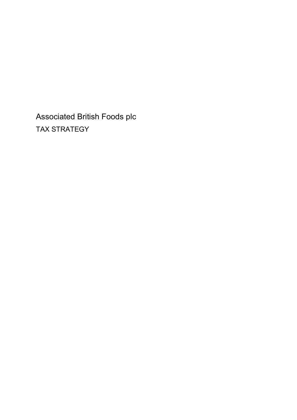Associated British Foods plc TAX STRATEGY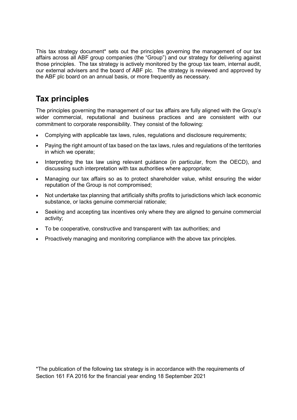This tax strategy document\* sets out the principles governing the management of our tax affairs across all ABF group companies (the "Group") and our strategy for delivering against those principles. The tax strategy is actively monitored by the group tax team, internal audit, our external advisers and the board of ABF plc. The strategy is reviewed and approved by the ABF plc board on an annual basis, or more frequently as necessary.

# Tax principles

The principles governing the management of our tax affairs are fully aligned with the Group's wider commercial, reputational and business practices and are consistent with our commitment to corporate responsibility. They consist of the following:

- Complying with applicable tax laws, rules, regulations and disclosure requirements;
- Paying the right amount of tax based on the tax laws, rules and regulations of the territories in which we operate;
- Interpreting the tax law using relevant guidance (in particular, from the OECD), and discussing such interpretation with tax authorities where appropriate;
- Managing our tax affairs so as to protect shareholder value, whilst ensuring the wider reputation of the Group is not compromised;
- Not undertake tax planning that artificially shifts profits to jurisdictions which lack economic substance, or lacks genuine commercial rationale;
- Seeking and accepting tax incentives only where they are aligned to genuine commercial activity;
- To be cooperative, constructive and transparent with tax authorities; and
- Proactively managing and monitoring compliance with the above tax principles.

\*The publication of the following tax strategy is in accordance with the requirements of Section 161 FA 2016 for the financial year ending 18 September 2021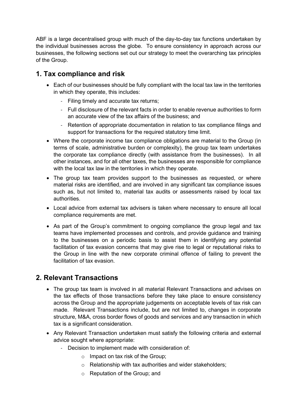ABF is a large decentralised group with much of the day-to-day tax functions undertaken by the individual businesses across the globe. To ensure consistency in approach across our businesses, the following sections set out our strategy to meet the overarching tax principles of the Group.

### 1. Tax compliance and risk

- Each of our businesses should be fully compliant with the local tax law in the territories in which they operate, this includes:
	- Filing timely and accurate tax returns;
	- Full disclosure of the relevant facts in order to enable revenue authorities to form an accurate view of the tax affairs of the business; and
	- Retention of appropriate documentation in relation to tax compliance filings and support for transactions for the required statutory time limit.
- Where the corporate income tax compliance obligations are material to the Group (in terms of scale, administrative burden or complexity), the group tax team undertakes the corporate tax compliance directly (with assistance from the businesses). In all other instances, and for all other taxes, the businesses are responsible for compliance with the local tax law in the territories in which they operate.
- The group tax team provides support to the businesses as requested, or where material risks are identified, and are involved in any significant tax compliance issues such as, but not limited to, material tax audits or assessments raised by local tax authorities.
- Local advice from external tax advisers is taken where necessary to ensure all local compliance requirements are met.
- As part of the Group's commitment to ongoing compliance the group legal and tax teams have implemented processes and controls, and provide guidance and training to the businesses on a periodic basis to assist them in identifying any potential facilitation of tax evasion concerns that may give rise to legal or reputational risks to the Group in line with the new corporate criminal offence of failing to prevent the facilitation of tax evasion.

## 2. Relevant Transactions

- The group tax team is involved in all material Relevant Transactions and advises on the tax effects of those transactions before they take place to ensure consistency across the Group and the appropriate judgements on acceptable levels of tax risk can made. Relevant Transactions include, but are not limited to, changes in corporate structure, M&A, cross border flows of goods and services and any transaction in which tax is a significant consideration.
- Any Relevant Transaction undertaken must satisfy the following criteria and external advice sought where appropriate:
	- Decision to implement made with consideration of:
		- $\circ$  Impact on tax risk of the Group;
		- o Relationship with tax authorities and wider stakeholders;
		- o Reputation of the Group; and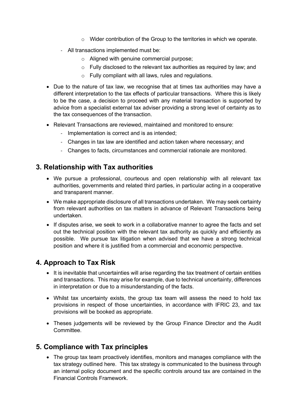- $\circ$  Wider contribution of the Group to the territories in which we operate.
- All transactions implemented must be:
	- o Aligned with genuine commercial purpose;
	- $\circ$  Fully disclosed to the relevant tax authorities as required by law; and
	- o Fully compliant with all laws, rules and regulations.
- Due to the nature of tax law, we recognise that at times tax authorities may have a different interpretation to the tax effects of particular transactions. Where this is likely to be the case, a decision to proceed with any material transaction is supported by advice from a specialist external tax adviser providing a strong level of certainty as to the tax consequences of the transaction.
- Relevant Transactions are reviewed, maintained and monitored to ensure:
	- Implementation is correct and is as intended;
	- Changes in tax law are identified and action taken where necessary; and
	- Changes to facts, circumstances and commercial rationale are monitored.

#### 3. Relationship with Tax authorities

- We pursue a professional, courteous and open relationship with all relevant tax authorities, governments and related third parties, in particular acting in a cooperative and transparent manner.
- We make appropriate disclosure of all transactions undertaken. We may seek certainty from relevant authorities on tax matters in advance of Relevant Transactions being undertaken.
- If disputes arise, we seek to work in a collaborative manner to agree the facts and set out the technical position with the relevant tax authority as quickly and efficiently as possible. We pursue tax litigation when advised that we have a strong technical position and where it is justified from a commercial and economic perspective.

## 4. Approach to Tax Risk

- It is inevitable that uncertainties will arise regarding the tax treatment of certain entities and transactions. This may arise for example, due to technical uncertainty, differences in interpretation or due to a misunderstanding of the facts.
- Whilst tax uncertainty exists, the group tax team will assess the need to hold tax provisions in respect of those uncertainties, in accordance with IFRIC 23, and tax provisions will be booked as appropriate.
- Theses judgements will be reviewed by the Group Finance Director and the Audit Committee.

#### 5. Compliance with Tax principles

 The group tax team proactively identifies, monitors and manages compliance with the tax strategy outlined here. This tax strategy is communicated to the business through an internal policy document and the specific controls around tax are contained in the Financial Controls Framework.